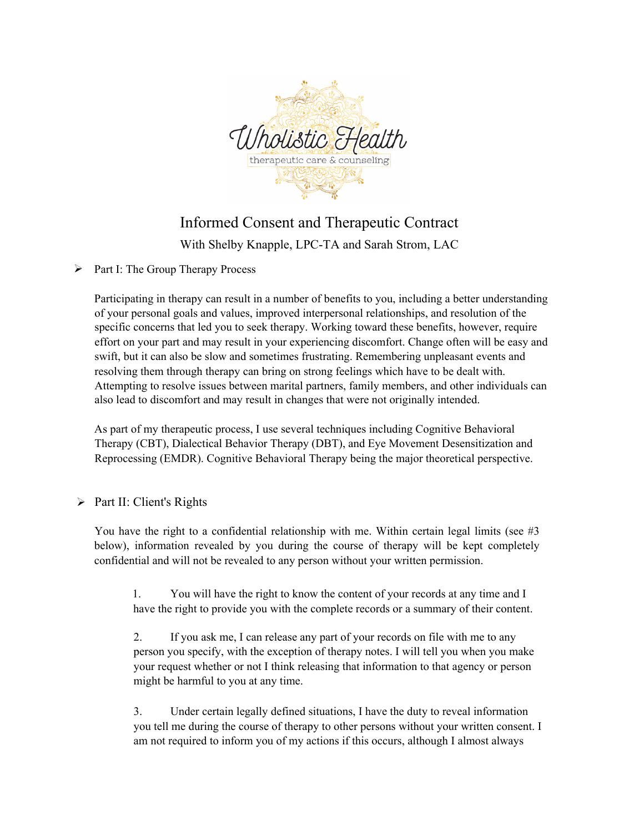

## Informed Consent and Therapeutic Contract

With Shelby Knapple, LPC-TA and Sarah Strom, LAC

 $\triangleright$  Part I: The Group Therapy Process

Participating in therapy can result in a number of benefits to you, including a better understanding of your personal goals and values, improved interpersonal relationships, and resolution of the specific concerns that led you to seek therapy. Working toward these benefits, however, require effort on your part and may result in your experiencing discomfort. Change often will be easy and swift, but it can also be slow and sometimes frustrating. Remembering unpleasant events and resolving them through therapy can bring on strong feelings which have to be dealt with. Attempting to resolve issues between marital partners, family members, and other individuals can also lead to discomfort and may result in changes that were not originally intended.

As part of my therapeutic process, I use several techniques including Cognitive Behavioral Therapy (CBT), Dialectical Behavior Therapy (DBT), and Eye Movement Desensitization and Reprocessing (EMDR). Cognitive Behavioral Therapy being the major theoretical perspective.

## Part II: Client's Rights

You have the right to a confidential relationship with me. Within certain legal limits (see #3 below), information revealed by you during the course of therapy will be kept completely confidential and will not be revealed to any person without your written permission.

1. You will have the right to know the content of your records at any time and I have the right to provide you with the complete records or a summary of their content.

2. If you ask me, I can release any part of your records on file with me to any person you specify, with the exception of therapy notes. I will tell you when you make your request whether or not I think releasing that information to that agency or person might be harmful to you at any time.

3. Under certain legally defined situations, I have the duty to reveal information you tell me during the course of therapy to other persons without your written consent. I am not required to inform you of my actions if this occurs, although I almost always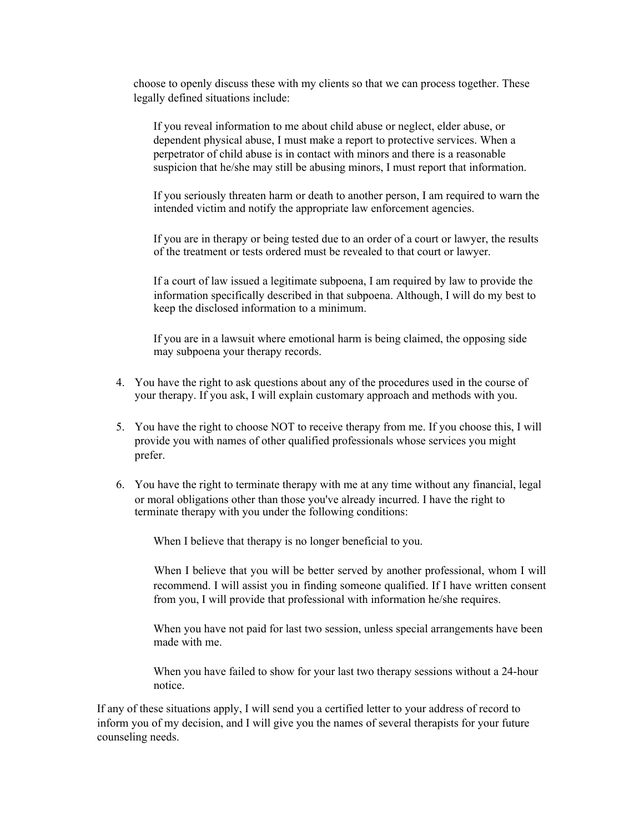choose to openly discuss these with my clients so that we can process together. These legally defined situations include:

If you reveal information to me about child abuse or neglect, elder abuse, or dependent physical abuse, I must make a report to protective services. When a perpetrator of child abuse is in contact with minors and there is a reasonable suspicion that he/she may still be abusing minors, I must report that information.

If you seriously threaten harm or death to another person, I am required to warn the intended victim and notify the appropriate law enforcement agencies.

If you are in therapy or being tested due to an order of a court or lawyer, the results of the treatment or tests ordered must be revealed to that court or lawyer.

If a court of law issued a legitimate subpoena, I am required by law to provide the information specifically described in that subpoena. Although, I will do my best to keep the disclosed information to a minimum.

If you are in a lawsuit where emotional harm is being claimed, the opposing side may subpoena your therapy records.

- 4. You have the right to ask questions about any of the procedures used in the course of your therapy. If you ask, I will explain customary approach and methods with you.
- 5. You have the right to choose NOT to receive therapy from me. If you choose this, I will provide you with names of other qualified professionals whose services you might prefer.
- 6. You have the right to terminate therapy with me at any time without any financial, legal or moral obligations other than those you've already incurred. I have the right to terminate therapy with you under the following conditions:

When I believe that therapy is no longer beneficial to you.

When I believe that you will be better served by another professional, whom I will recommend. I will assist you in finding someone qualified. If I have written consent from you, I will provide that professional with information he/she requires.

When you have not paid for last two session, unless special arrangements have been made with me.

When you have failed to show for your last two therapy sessions without a 24-hour notice.

If any of these situations apply, I will send you a certified letter to your address of record to inform you of my decision, and I will give you the names of several therapists for your future counseling needs.